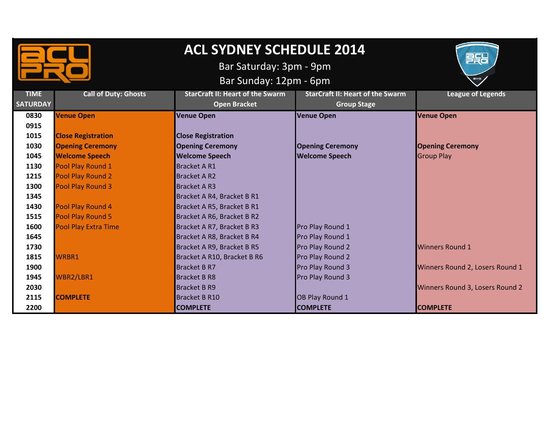

## **ACL SYDNEY SCHEDULE 2014**

Bar Saturday: 3pm - 9pm

Bar Sunday: 12pm - 6pm



| <b>TIME</b>     | <b>Call of Duty: Ghosts</b> | <b>StarCraft II: Heart of the Swarm</b> | <b>StarCraft II: Heart of the Swarm</b> | <b>League of Legends</b>        |
|-----------------|-----------------------------|-----------------------------------------|-----------------------------------------|---------------------------------|
| <b>SATURDAY</b> |                             | <b>Open Bracket</b>                     | <b>Group Stage</b>                      |                                 |
| 0830            | <b>Venue Open</b>           | <b>Venue Open</b>                       | <b>Venue Open</b>                       | <b>Venue Open</b>               |
| 0915            |                             |                                         |                                         |                                 |
| 1015            | <b>Close Registration</b>   | <b>Close Registration</b>               |                                         |                                 |
| 1030            | <b>Opening Ceremony</b>     | <b>Opening Ceremony</b>                 | <b>Opening Ceremony</b>                 | <b>Opening Ceremony</b>         |
| 1045            | <b>Welcome Speech</b>       | <b>Welcome Speech</b>                   | <b>Welcome Speech</b>                   | <b>Group Play</b>               |
| 1130            | Pool Play Round 1           | <b>Bracket AR1</b>                      |                                         |                                 |
| 1215            | Pool Play Round 2           | <b>Bracket AR2</b>                      |                                         |                                 |
| 1300            | Pool Play Round 3           | <b>Bracket AR3</b>                      |                                         |                                 |
| 1345            |                             | Bracket A R4, Bracket B R1              |                                         |                                 |
| 1430            | Pool Play Round 4           | Bracket A R5, Bracket B R1              |                                         |                                 |
| 1515            | Pool Play Round 5           | Bracket A R6, Bracket B R2              |                                         |                                 |
| 1600            | <b>Pool Play Extra Time</b> | Bracket A R7, Bracket B R3              | Pro Play Round 1                        |                                 |
| 1645            |                             | Bracket A R8, Bracket B R4              | Pro Play Round 1                        |                                 |
| 1730            |                             | Bracket A R9, Bracket B R5              | Pro Play Round 2                        | <b>Winners Round 1</b>          |
| 1815            | <b>WRBR1</b>                | Bracket A R10, Bracket B R6             | Pro Play Round 2                        |                                 |
| 1900            |                             | <b>Bracket B R7</b>                     | Pro Play Round 3                        | Winners Round 2, Losers Round 1 |
| 1945            | WBR2/LBR1                   | <b>Bracket B R8</b>                     | Pro Play Round 3                        |                                 |
| 2030            |                             | <b>Bracket B R9</b>                     |                                         | Winners Round 3, Losers Round 2 |
| 2115            | <b>COMPLETE</b>             | Bracket B R10                           | OB Play Round 1                         |                                 |
| 2200            |                             | <b>COMPLETE</b>                         | <b>COMPLETE</b>                         | <b>COMPLETE</b>                 |